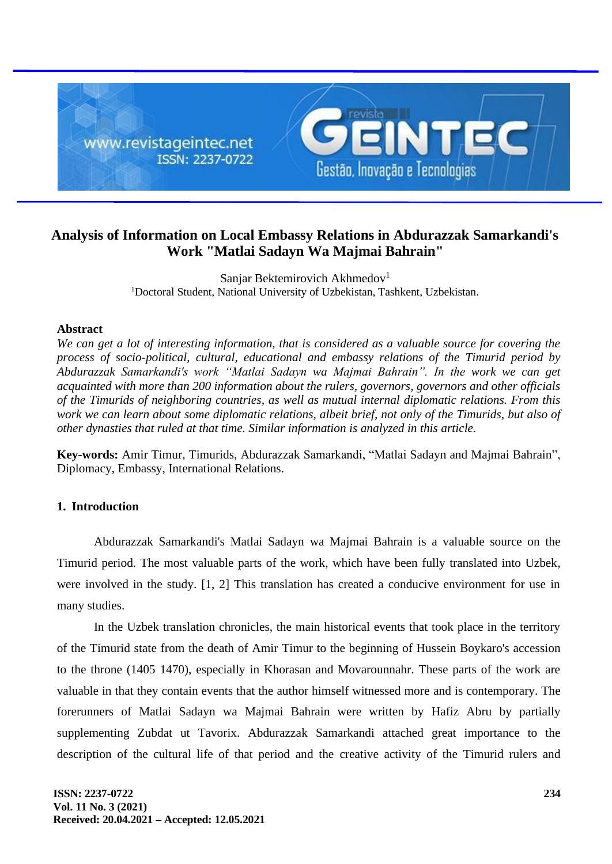

# **Analysis of Information on Local Embassy Relations in Abdurazzak Samarkandi's Work "Matlai Sadayn Wa Majmai Bahrain"**

Sanjar Bektemirovich Akhmedov<sup>1</sup> <sup>1</sup>Doctoral Student, National University of Uzbekistan, Tashkent, Uzbekistan.

## **Abstract**

*We can get a lot of interesting information, that is considered as a valuable source for covering the process of socio-political, cultural, educational and embassy relations of the Timurid period by Abdurazzak Samarkandi's work "Matlai Sadayn wa Majmai Bahrain". In the work we can get acquainted with more than 200 information about the rulers, governors, governors and other officials of the Timurids of neighboring countries, as well as mutual internal diplomatic relations. From this work we can learn about some diplomatic relations, albeit brief, not only of the Timurids, but also of other dynasties that ruled at that time. Similar information is analyzed in this article.*

**Key-words:** Amir Timur, Timurids, Abdurazzak Samarkandi, "Matlai Sadayn and Majmai Bahrain", Diplomacy, Embassy, International Relations.

## **1. Introduction**

Abdurazzak Samarkandi's Matlai Sadayn wa Majmai Bahrain is a valuable source on the Timurid period. The most valuable parts of the work, which have been fully translated into Uzbek, were involved in the study. [1, 2] This translation has created a conducive environment for use in many studies.

In the Uzbek translation chronicles, the main historical events that took place in the territory of the Timurid state from the death of Amir Timur to the beginning of Hussein Boykaro's accession to the throne (1405 1470), especially in Khorasan and Movarounnahr. These parts of the work are valuable in that they contain events that the author himself witnessed more and is contemporary. The forerunners of Matlai Sadayn wa Majmai Bahrain were written by Hafiz Abru by partially supplementing Zubdat ut Tavorix. Abdurazzak Samarkandi attached great importance to the description of the cultural life of that period and the creative activity of the Timurid rulers and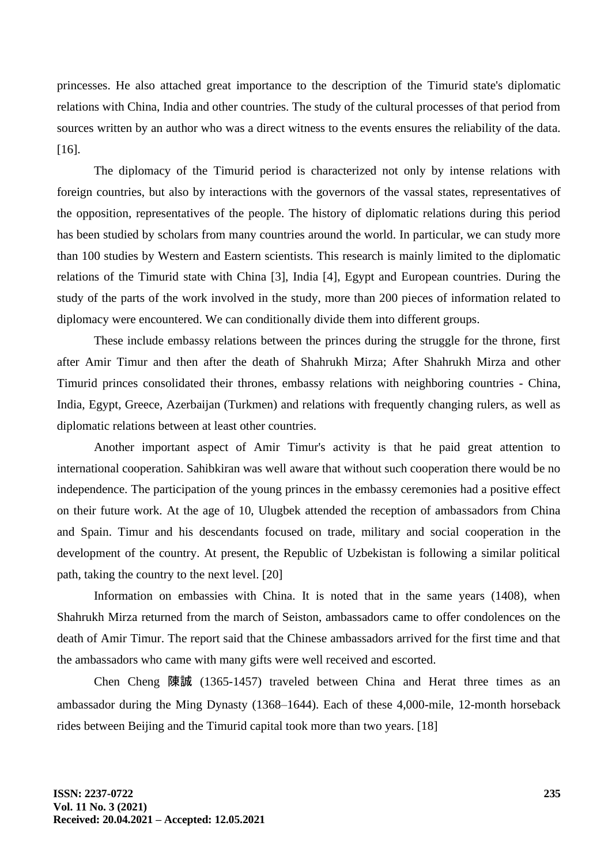princesses. He also attached great importance to the description of the Timurid state's diplomatic relations with China, India and other countries. The study of the cultural processes of that period from sources written by an author who was a direct witness to the events ensures the reliability of the data. [16].

The diplomacy of the Timurid period is characterized not only by intense relations with foreign countries, but also by interactions with the governors of the vassal states, representatives of the opposition, representatives of the people. The history of diplomatic relations during this period has been studied by scholars from many countries around the world. In particular, we can study more than 100 studies by Western and Eastern scientists. This research is mainly limited to the diplomatic relations of the Timurid state with China [3], India [4], Egypt and European countries. During the study of the parts of the work involved in the study, more than 200 pieces of information related to diplomacy were encountered. We can conditionally divide them into different groups.

These include embassy relations between the princes during the struggle for the throne, first after Amir Timur and then after the death of Shahrukh Mirza; After Shahrukh Mirza and other Timurid princes consolidated their thrones, embassy relations with neighboring countries - China, India, Egypt, Greece, Azerbaijan (Turkmen) and relations with frequently changing rulers, as well as diplomatic relations between at least other countries.

Another important aspect of Amir Timur's activity is that he paid great attention to international cooperation. Sahibkiran was well aware that without such cooperation there would be no independence. The participation of the young princes in the embassy ceremonies had a positive effect on their future work. At the age of 10, Ulugbek attended the reception of ambassadors from China and Spain. Timur and his descendants focused on trade, military and social cooperation in the development of the country. At present, the Republic of Uzbekistan is following a similar political path, taking the country to the next level. [20]

Information on embassies with China. It is noted that in the same years (1408), when Shahrukh Mirza returned from the march of Seiston, ambassadors came to offer condolences on the death of Amir Timur. The report said that the Chinese ambassadors arrived for the first time and that the ambassadors who came with many gifts were well received and escorted.

Chen Cheng 陳誠 (1365-1457) traveled between China and Herat three times as an ambassador during the Ming Dynasty (1368–1644). Each of these 4,000-mile, 12-month horseback rides between Beijing and the Timurid capital took more than two years. [18]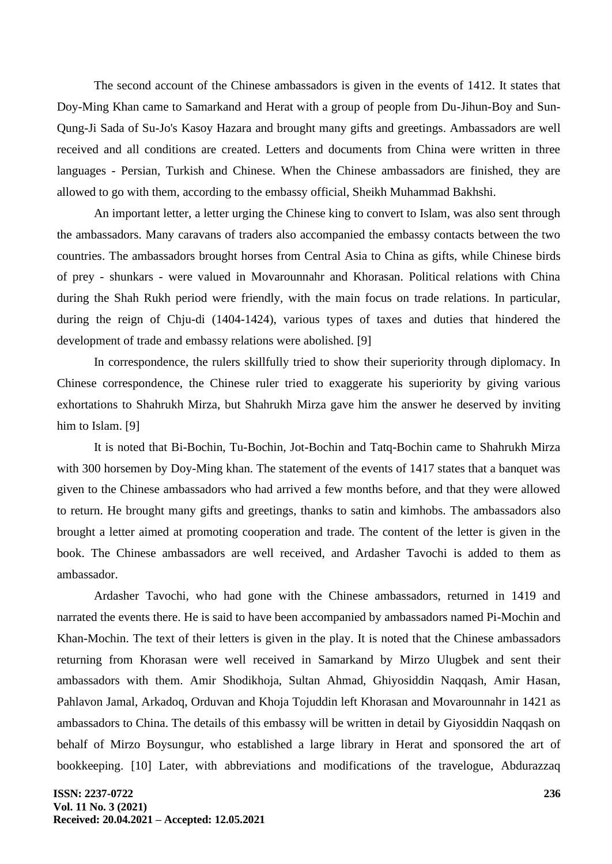The second account of the Chinese ambassadors is given in the events of 1412. It states that Doy-Ming Khan came to Samarkand and Herat with a group of people from Du-Jihun-Boy and Sun-Qung-Ji Sada of Su-Jo's Kasoy Hazara and brought many gifts and greetings. Ambassadors are well received and all conditions are created. Letters and documents from China were written in three languages - Persian, Turkish and Chinese. When the Chinese ambassadors are finished, they are allowed to go with them, according to the embassy official, Sheikh Muhammad Bakhshi.

An important letter, a letter urging the Chinese king to convert to Islam, was also sent through the ambassadors. Many caravans of traders also accompanied the embassy contacts between the two countries. The ambassadors brought horses from Central Asia to China as gifts, while Chinese birds of prey - shunkars - were valued in Movarounnahr and Khorasan. Political relations with China during the Shah Rukh period were friendly, with the main focus on trade relations. In particular, during the reign of Chju-di (1404-1424), various types of taxes and duties that hindered the development of trade and embassy relations were abolished. [9]

In correspondence, the rulers skillfully tried to show their superiority through diplomacy. In Chinese correspondence, the Chinese ruler tried to exaggerate his superiority by giving various exhortations to Shahrukh Mirza, but Shahrukh Mirza gave him the answer he deserved by inviting him to Islam. [9]

It is noted that Bi-Bochin, Tu-Bochin, Jot-Bochin and Tatq-Bochin came to Shahrukh Mirza with 300 horsemen by Doy-Ming khan. The statement of the events of 1417 states that a banquet was given to the Chinese ambassadors who had arrived a few months before, and that they were allowed to return. He brought many gifts and greetings, thanks to satin and kimhobs. The ambassadors also brought a letter aimed at promoting cooperation and trade. The content of the letter is given in the book. The Chinese ambassadors are well received, and Ardasher Tavochi is added to them as ambassador.

Ardasher Tavochi, who had gone with the Chinese ambassadors, returned in 1419 and narrated the events there. He is said to have been accompanied by ambassadors named Pi-Mochin and Khan-Mochin. The text of their letters is given in the play. It is noted that the Chinese ambassadors returning from Khorasan were well received in Samarkand by Mirzo Ulugbek and sent their ambassadors with them. Amir Shodikhoja, Sultan Ahmad, Ghiyosiddin Naqqash, Amir Hasan, Pahlavon Jamal, Arkadoq, Orduvan and Khoja Tojuddin left Khorasan and Movarounnahr in 1421 as ambassadors to China. The details of this embassy will be written in detail by Giyosiddin Naqqash on behalf of Mirzo Boysungur, who established a large library in Herat and sponsored the art of bookkeeping. [10] Later, with abbreviations and modifications of the travelogue, Abdurazzaq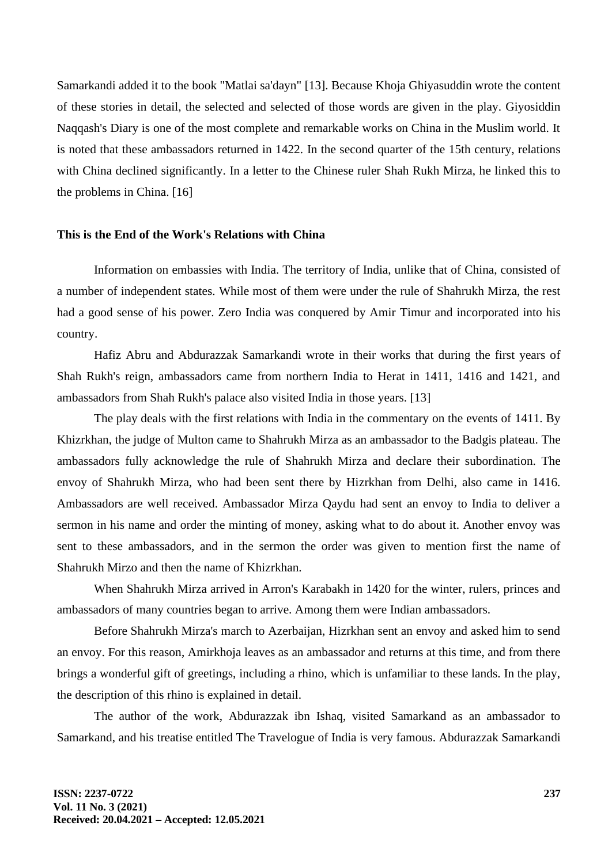Samarkandi added it to the book "Matlai sa'dayn" [13]. Because Khoja Ghiyasuddin wrote the content of these stories in detail, the selected and selected of those words are given in the play. Giyosiddin Naqqash's Diary is one of the most complete and remarkable works on China in the Muslim world. It is noted that these ambassadors returned in 1422. In the second quarter of the 15th century, relations with China declined significantly. In a letter to the Chinese ruler Shah Rukh Mirza, he linked this to the problems in China. [16]

### **This is the End of the Work's Relations with China**

Information on embassies with India. The territory of India, unlike that of China, consisted of a number of independent states. While most of them were under the rule of Shahrukh Mirza, the rest had a good sense of his power. Zero India was conquered by Amir Timur and incorporated into his country.

Hafiz Abru and Abdurazzak Samarkandi wrote in their works that during the first years of Shah Rukh's reign, ambassadors came from northern India to Herat in 1411, 1416 and 1421, and ambassadors from Shah Rukh's palace also visited India in those years. [13]

The play deals with the first relations with India in the commentary on the events of 1411. By Khizrkhan, the judge of Multon came to Shahrukh Mirza as an ambassador to the Badgis plateau. The ambassadors fully acknowledge the rule of Shahrukh Mirza and declare their subordination. The envoy of Shahrukh Mirza, who had been sent there by Hizrkhan from Delhi, also came in 1416. Ambassadors are well received. Ambassador Mirza Qaydu had sent an envoy to India to deliver a sermon in his name and order the minting of money, asking what to do about it. Another envoy was sent to these ambassadors, and in the sermon the order was given to mention first the name of Shahrukh Mirzo and then the name of Khizrkhan.

When Shahrukh Mirza arrived in Arron's Karabakh in 1420 for the winter, rulers, princes and ambassadors of many countries began to arrive. Among them were Indian ambassadors.

Before Shahrukh Mirza's march to Azerbaijan, Hizrkhan sent an envoy and asked him to send an envoy. For this reason, Amirkhoja leaves as an ambassador and returns at this time, and from there brings a wonderful gift of greetings, including a rhino, which is unfamiliar to these lands. In the play, the description of this rhino is explained in detail.

The author of the work, Abdurazzak ibn Ishaq, visited Samarkand as an ambassador to Samarkand, and his treatise entitled The Travelogue of India is very famous. Abdurazzak Samarkandi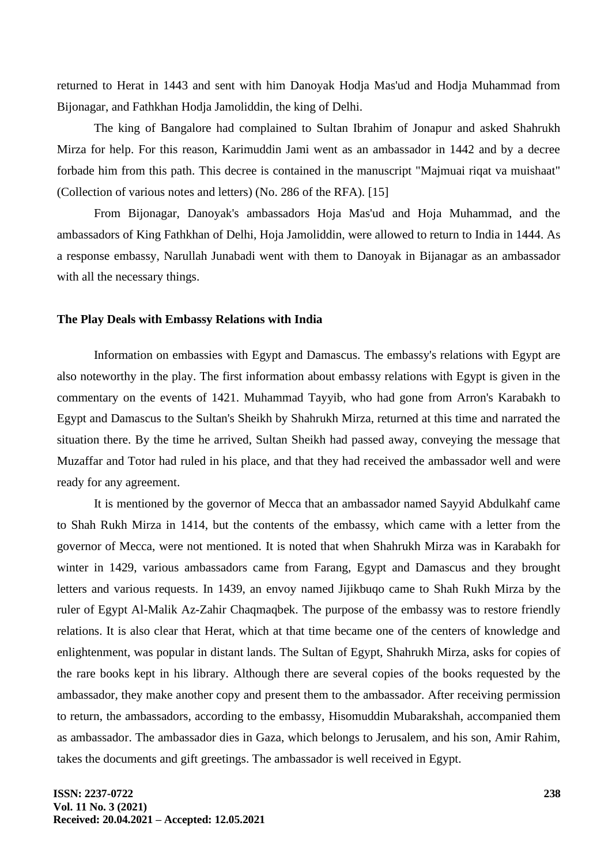returned to Herat in 1443 and sent with him Danoyak Hodja Mas'ud and Hodja Muhammad from Bijonagar, and Fathkhan Hodja Jamoliddin, the king of Delhi.

The king of Bangalore had complained to Sultan Ibrahim of Jonapur and asked Shahrukh Mirza for help. For this reason, Karimuddin Jami went as an ambassador in 1442 and by a decree forbade him from this path. This decree is contained in the manuscript "Majmuai riqat va muishaat" (Collection of various notes and letters) (No. 286 of the RFA). [15]

From Bijonagar, Danoyak's ambassadors Hoja Mas'ud and Hoja Muhammad, and the ambassadors of King Fathkhan of Delhi, Hoja Jamoliddin, were allowed to return to India in 1444. As a response embassy, Narullah Junabadi went with them to Danoyak in Bijanagar as an ambassador with all the necessary things.

#### **The Play Deals with Embassy Relations with India**

Information on embassies with Egypt and Damascus. The embassy's relations with Egypt are also noteworthy in the play. The first information about embassy relations with Egypt is given in the commentary on the events of 1421. Muhammad Tayyib, who had gone from Arron's Karabakh to Egypt and Damascus to the Sultan's Sheikh by Shahrukh Mirza, returned at this time and narrated the situation there. By the time he arrived, Sultan Sheikh had passed away, conveying the message that Muzaffar and Totor had ruled in his place, and that they had received the ambassador well and were ready for any agreement.

It is mentioned by the governor of Mecca that an ambassador named Sayyid Abdulkahf came to Shah Rukh Mirza in 1414, but the contents of the embassy, which came with a letter from the governor of Mecca, were not mentioned. It is noted that when Shahrukh Mirza was in Karabakh for winter in 1429, various ambassadors came from Farang, Egypt and Damascus and they brought letters and various requests. In 1439, an envoy named Jijikbuqo came to Shah Rukh Mirza by the ruler of Egypt Al-Malik Az-Zahir Chaqmaqbek. The purpose of the embassy was to restore friendly relations. It is also clear that Herat, which at that time became one of the centers of knowledge and enlightenment, was popular in distant lands. The Sultan of Egypt, Shahrukh Mirza, asks for copies of the rare books kept in his library. Although there are several copies of the books requested by the ambassador, they make another copy and present them to the ambassador. After receiving permission to return, the ambassadors, according to the embassy, Hisomuddin Mubarakshah, accompanied them as ambassador. The ambassador dies in Gaza, which belongs to Jerusalem, and his son, Amir Rahim, takes the documents and gift greetings. The ambassador is well received in Egypt.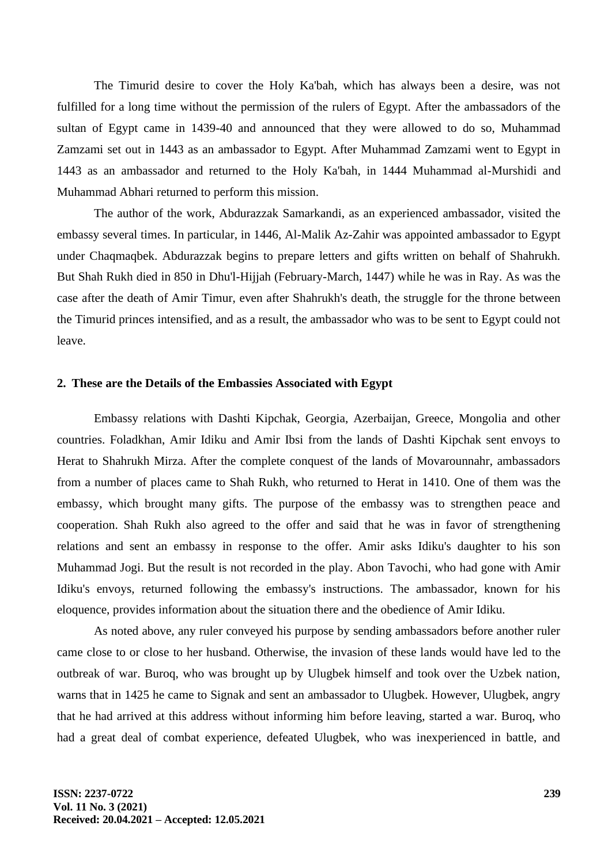The Timurid desire to cover the Holy Ka'bah, which has always been a desire, was not fulfilled for a long time without the permission of the rulers of Egypt. After the ambassadors of the sultan of Egypt came in 1439-40 and announced that they were allowed to do so, Muhammad Zamzami set out in 1443 as an ambassador to Egypt. After Muhammad Zamzami went to Egypt in 1443 as an ambassador and returned to the Holy Ka'bah, in 1444 Muhammad al-Murshidi and Muhammad Abhari returned to perform this mission.

The author of the work, Abdurazzak Samarkandi, as an experienced ambassador, visited the embassy several times. In particular, in 1446, Al-Malik Az-Zahir was appointed ambassador to Egypt under Chaqmaqbek. Abdurazzak begins to prepare letters and gifts written on behalf of Shahrukh. But Shah Rukh died in 850 in Dhu'l-Hijjah (February-March, 1447) while he was in Ray. As was the case after the death of Amir Timur, even after Shahrukh's death, the struggle for the throne between the Timurid princes intensified, and as a result, the ambassador who was to be sent to Egypt could not leave.

#### **2. These are the Details of the Embassies Associated with Egypt**

Embassy relations with Dashti Kipchak, Georgia, Azerbaijan, Greece, Mongolia and other countries. Foladkhan, Amir Idiku and Amir Ibsi from the lands of Dashti Kipchak sent envoys to Herat to Shahrukh Mirza. After the complete conquest of the lands of Movarounnahr, ambassadors from a number of places came to Shah Rukh, who returned to Herat in 1410. One of them was the embassy, which brought many gifts. The purpose of the embassy was to strengthen peace and cooperation. Shah Rukh also agreed to the offer and said that he was in favor of strengthening relations and sent an embassy in response to the offer. Amir asks Idiku's daughter to his son Muhammad Jogi. But the result is not recorded in the play. Abon Tavochi, who had gone with Amir Idiku's envoys, returned following the embassy's instructions. The ambassador, known for his eloquence, provides information about the situation there and the obedience of Amir Idiku.

As noted above, any ruler conveyed his purpose by sending ambassadors before another ruler came close to or close to her husband. Otherwise, the invasion of these lands would have led to the outbreak of war. Buroq, who was brought up by Ulugbek himself and took over the Uzbek nation, warns that in 1425 he came to Signak and sent an ambassador to Ulugbek. However, Ulugbek, angry that he had arrived at this address without informing him before leaving, started a war. Buroq, who had a great deal of combat experience, defeated Ulugbek, who was inexperienced in battle, and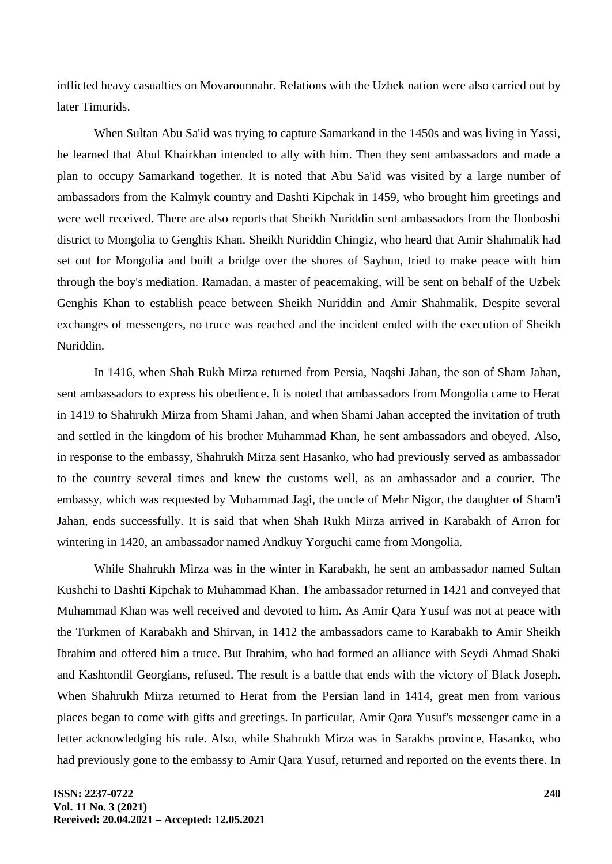inflicted heavy casualties on Movarounnahr. Relations with the Uzbek nation were also carried out by later Timurids.

When Sultan Abu Sa'id was trying to capture Samarkand in the 1450s and was living in Yassi, he learned that Abul Khairkhan intended to ally with him. Then they sent ambassadors and made a plan to occupy Samarkand together. It is noted that Abu Sa'id was visited by a large number of ambassadors from the Kalmyk country and Dashti Kipchak in 1459, who brought him greetings and were well received. There are also reports that Sheikh Nuriddin sent ambassadors from the Ilonboshi district to Mongolia to Genghis Khan. Sheikh Nuriddin Chingiz, who heard that Amir Shahmalik had set out for Mongolia and built a bridge over the shores of Sayhun, tried to make peace with him through the boy's mediation. Ramadan, a master of peacemaking, will be sent on behalf of the Uzbek Genghis Khan to establish peace between Sheikh Nuriddin and Amir Shahmalik. Despite several exchanges of messengers, no truce was reached and the incident ended with the execution of Sheikh Nuriddin.

In 1416, when Shah Rukh Mirza returned from Persia, Naqshi Jahan, the son of Sham Jahan, sent ambassadors to express his obedience. It is noted that ambassadors from Mongolia came to Herat in 1419 to Shahrukh Mirza from Shami Jahan, and when Shami Jahan accepted the invitation of truth and settled in the kingdom of his brother Muhammad Khan, he sent ambassadors and obeyed. Also, in response to the embassy, Shahrukh Mirza sent Hasanko, who had previously served as ambassador to the country several times and knew the customs well, as an ambassador and a courier. The embassy, which was requested by Muhammad Jagi, the uncle of Mehr Nigor, the daughter of Sham'i Jahan, ends successfully. It is said that when Shah Rukh Mirza arrived in Karabakh of Arron for wintering in 1420, an ambassador named Andkuy Yorguchi came from Mongolia.

While Shahrukh Mirza was in the winter in Karabakh, he sent an ambassador named Sultan Kushchi to Dashti Kipchak to Muhammad Khan. The ambassador returned in 1421 and conveyed that Muhammad Khan was well received and devoted to him. As Amir Qara Yusuf was not at peace with the Turkmen of Karabakh and Shirvan, in 1412 the ambassadors came to Karabakh to Amir Sheikh Ibrahim and offered him a truce. But Ibrahim, who had formed an alliance with Seydi Ahmad Shaki and Kashtondil Georgians, refused. The result is a battle that ends with the victory of Black Joseph. When Shahrukh Mirza returned to Herat from the Persian land in 1414, great men from various places began to come with gifts and greetings. In particular, Amir Qara Yusuf's messenger came in a letter acknowledging his rule. Also, while Shahrukh Mirza was in Sarakhs province, Hasanko, who had previously gone to the embassy to Amir Qara Yusuf, returned and reported on the events there. In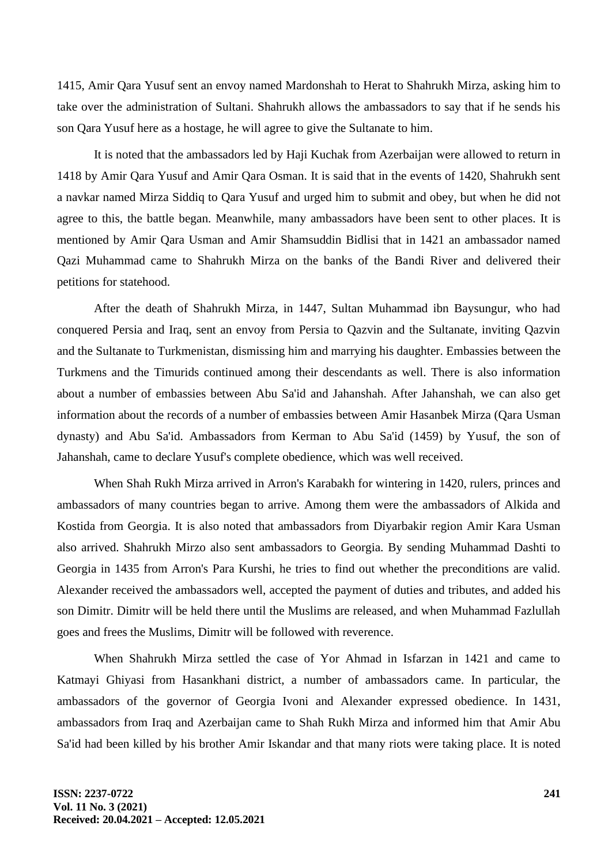1415, Amir Qara Yusuf sent an envoy named Mardonshah to Herat to Shahrukh Mirza, asking him to take over the administration of Sultani. Shahrukh allows the ambassadors to say that if he sends his son Qara Yusuf here as a hostage, he will agree to give the Sultanate to him.

It is noted that the ambassadors led by Haji Kuchak from Azerbaijan were allowed to return in 1418 by Amir Qara Yusuf and Amir Qara Osman. It is said that in the events of 1420, Shahrukh sent a navkar named Mirza Siddiq to Qara Yusuf and urged him to submit and obey, but when he did not agree to this, the battle began. Meanwhile, many ambassadors have been sent to other places. It is mentioned by Amir Qara Usman and Amir Shamsuddin Bidlisi that in 1421 an ambassador named Qazi Muhammad came to Shahrukh Mirza on the banks of the Bandi River and delivered their petitions for statehood.

After the death of Shahrukh Mirza, in 1447, Sultan Muhammad ibn Baysungur, who had conquered Persia and Iraq, sent an envoy from Persia to Qazvin and the Sultanate, inviting Qazvin and the Sultanate to Turkmenistan, dismissing him and marrying his daughter. Embassies between the Turkmens and the Timurids continued among their descendants as well. There is also information about a number of embassies between Abu Sa'id and Jahanshah. After Jahanshah, we can also get information about the records of a number of embassies between Amir Hasanbek Mirza (Qara Usman dynasty) and Abu Sa'id. Ambassadors from Kerman to Abu Sa'id (1459) by Yusuf, the son of Jahanshah, came to declare Yusuf's complete obedience, which was well received.

When Shah Rukh Mirza arrived in Arron's Karabakh for wintering in 1420, rulers, princes and ambassadors of many countries began to arrive. Among them were the ambassadors of Alkida and Kostida from Georgia. It is also noted that ambassadors from Diyarbakir region Amir Kara Usman also arrived. Shahrukh Mirzo also sent ambassadors to Georgia. By sending Muhammad Dashti to Georgia in 1435 from Arron's Para Kurshi, he tries to find out whether the preconditions are valid. Alexander received the ambassadors well, accepted the payment of duties and tributes, and added his son Dimitr. Dimitr will be held there until the Muslims are released, and when Muhammad Fazlullah goes and frees the Muslims, Dimitr will be followed with reverence.

When Shahrukh Mirza settled the case of Yor Ahmad in Isfarzan in 1421 and came to Katmayi Ghiyasi from Hasankhani district, a number of ambassadors came. In particular, the ambassadors of the governor of Georgia Ivoni and Alexander expressed obedience. In 1431, ambassadors from Iraq and Azerbaijan came to Shah Rukh Mirza and informed him that Amir Abu Sa'id had been killed by his brother Amir Iskandar and that many riots were taking place. It is noted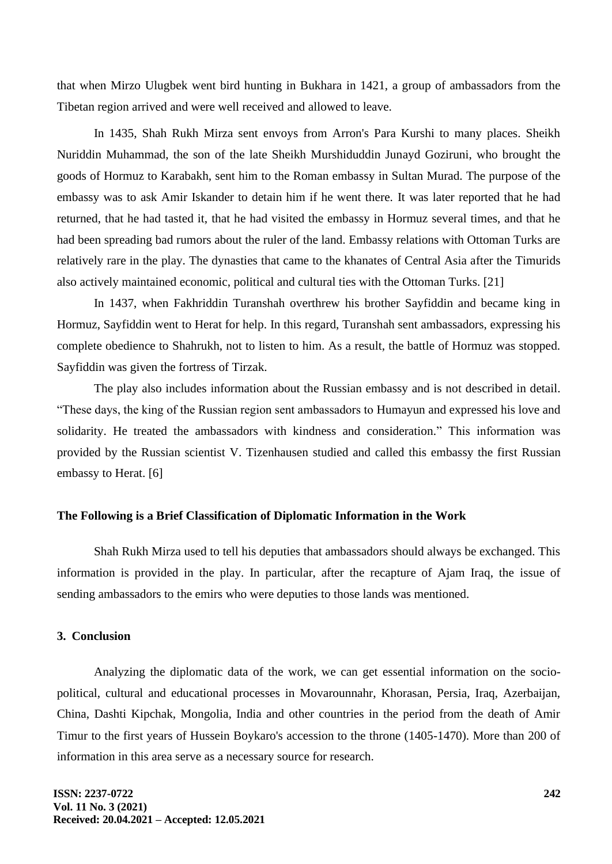that when Mirzo Ulugbek went bird hunting in Bukhara in 1421, a group of ambassadors from the Tibetan region arrived and were well received and allowed to leave.

In 1435, Shah Rukh Mirza sent envoys from Arron's Para Kurshi to many places. Sheikh Nuriddin Muhammad, the son of the late Sheikh Murshiduddin Junayd Goziruni, who brought the goods of Hormuz to Karabakh, sent him to the Roman embassy in Sultan Murad. The purpose of the embassy was to ask Amir Iskander to detain him if he went there. It was later reported that he had returned, that he had tasted it, that he had visited the embassy in Hormuz several times, and that he had been spreading bad rumors about the ruler of the land. Embassy relations with Ottoman Turks are relatively rare in the play. The dynasties that came to the khanates of Central Asia after the Timurids also actively maintained economic, political and cultural ties with the Ottoman Turks. [21]

In 1437, when Fakhriddin Turanshah overthrew his brother Sayfiddin and became king in Hormuz, Sayfiddin went to Herat for help. In this regard, Turanshah sent ambassadors, expressing his complete obedience to Shahrukh, not to listen to him. As a result, the battle of Hormuz was stopped. Sayfiddin was given the fortress of Tirzak.

The play also includes information about the Russian embassy and is not described in detail. "These days, the king of the Russian region sent ambassadors to Humayun and expressed his love and solidarity. He treated the ambassadors with kindness and consideration." This information was provided by the Russian scientist V. Tizenhausen studied and called this embassy the first Russian embassy to Herat. [6]

#### **The Following is a Brief Classification of Diplomatic Information in the Work**

Shah Rukh Mirza used to tell his deputies that ambassadors should always be exchanged. This information is provided in the play. In particular, after the recapture of Ajam Iraq, the issue of sending ambassadors to the emirs who were deputies to those lands was mentioned.

## **3. Conclusion**

Analyzing the diplomatic data of the work, we can get essential information on the sociopolitical, cultural and educational processes in Movarounnahr, Khorasan, Persia, Iraq, Azerbaijan, China, Dashti Kipchak, Mongolia, India and other countries in the period from the death of Amir Timur to the first years of Hussein Boykaro's accession to the throne (1405-1470). More than 200 of information in this area serve as a necessary source for research.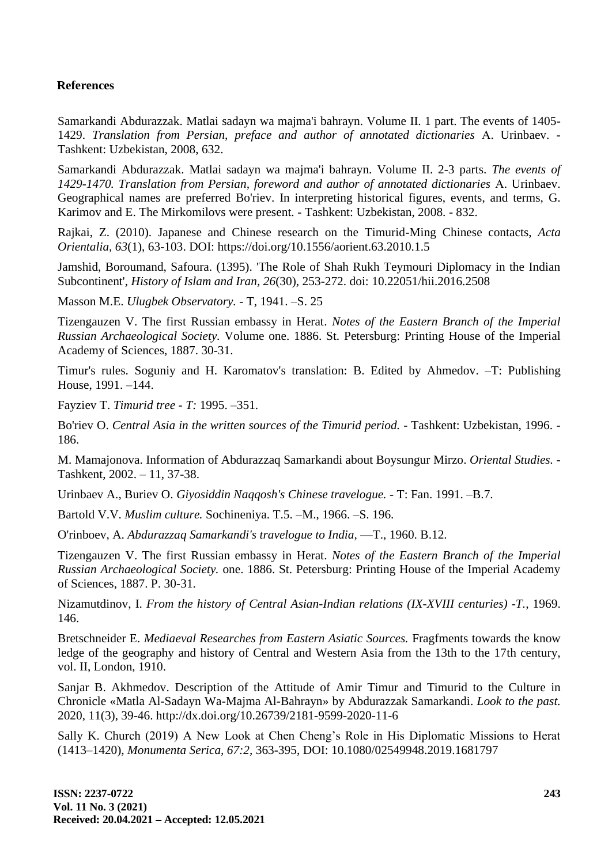## **References**

Samarkandi Abdurazzak. Matlai sadayn wa majma'i bahrayn. Volume II. 1 part. The events of 1405- 1429. *Translation from Persian, preface and author of annotated dictionaries* А. Urinbaev. - Tashkent: Uzbekistan, 2008, 632.

Samarkandi Abdurazzak. Matlai sadayn wa majma'i bahrayn. Volume II. 2-3 parts. *The events of 1429-1470. Translation from Persian, foreword and author of annotated dictionaries* А. Urinbaev. Geographical names are preferred Bo'riev. In interpreting historical figures, events, and terms, G. Karimov and E. The Mirkomilovs were present. - Tashkent: Uzbekistan, 2008. - 832.

Rajkai, Z. (2010). Japanese and Chinese research on the Timurid-Ming Chinese contacts, *Acta Orientalia, 63*(1), 63-103. DOI: <https://doi.org/10.1556/aorient.63.2010.1.5>

Jamshid, Boroumand, Safoura. (1395). 'The Role of Shah Rukh Teymouri Diplomacy in the Indian Subcontinent', *History of Islam and Iran, 26*(30), 253-272. doi: 10.22051/hii.2016.2508

Masson M.E. *Ulugbek Observatory.* - T, 1941. –S. 25

Tizengauzen V. The first Russian embassy in Herat. *Notes of the Eastern Branch of the Imperial Russian Archaeological Society.* Volume one. 1886. St. Petersburg: Printing House of the Imperial Academy of Sciences, 1887. 30-31.

Timur's rules. Soguniy and H. Karomatov's translation: B. Edited by Ahmedov. –T: Publishing House, 1991. –144.

Fayziev T. *Timurid tree - T:* 1995. –351.

Bo'riev O. *Central Asia in the written sources of the Timurid period.* - Tashkent: Uzbekistan, 1996. - 186.

M. Mamajonova. Information of Abdurazzaq Samarkandi about Boysungur Mirzo. *Oriental Studies. -* Tashkent, 2002. – 11, 37-38.

Urinbaev A., Buriev O. *Giyosiddin Naqqosh's Chinese travelogue.* - T: Fan. 1991. –B.7.

Bartold V.V. *Muslim culture.* Sochineniya. T.5. –M., 1966. –S. 196.

O'rinboev, A. *Abdurazzaq Samarkandi's travelogue to India,* —T., 1960. B.12.

Tizengauzen V. The first Russian embassy in Herat. *Notes of the Eastern Branch of the Imperial Russian Archaeological Society.* one. 1886. St. Petersburg: Printing House of the Imperial Academy of Sciences, 1887. P. 30-31.

Nizamutdinov, I. *From the history of Central Asian-Indian relations (IX-XVIII centuries) -T.,* 1969. 146.

Bretschneider E. *Mediaeval Researches from Eastern Asiatic Sources.* Fragfments towards the know ledge of the geography and history of Central and Western Asia from the 13th to the 17th century, vol. II, London, 1910.

Sanjar B. Akhmedov. Description of the Attitude of Amir Timur and Timurid to the Culture in Chronicle «Matla Al-Sadayn Wa-Majma Al-Bahrayn» by Abdurazzak Samarkandi. *Look to the past.* 2020, 11(3), 39-46. <http://dx.doi.org/10.26739/2181-9599-2020-11-6>

Sally K. Church (2019) A New Look at Chen Cheng's Role in His Diplomatic Missions to Herat (1413–1420), *Monumenta Serica, 67:2,* 363-395, DOI: 10.1080/02549948.2019.1681797